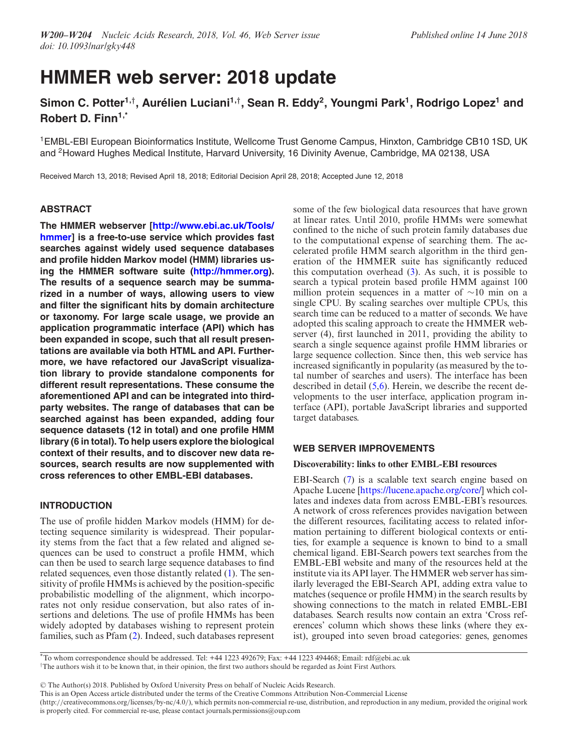# <span id="page-0-0"></span>**HMMER web server: 2018 update**

## **Simon C. Potter1,***†***, Aurelien Luciani ´ 1,***†***, Sean R. Eddy2, Youngmi Park1, Rodrigo Lopez1 and Robert D. Finn1,\***

1EMBL-EBI European Bioinformatics Institute, Wellcome Trust Genome Campus, Hinxton, Cambridge CB10 1SD, UK and <sup>2</sup>Howard Hughes Medical Institute, Harvard University, 16 Divinity Avenue, Cambridge, MA 02138, USA

Received March 13, 2018; Revised April 18, 2018; Editorial Decision April 28, 2018; Accepted June 12, 2018

## **ABSTRACT**

**The HMMER webserver [http://www.ebi.ac.uk/Tools/ [hmmer\] is a free-to-use service which provides fast](http://www.ebi.ac.uk/Tools/hmmer) searches against widely used sequence databases and profile hidden Markov model (HMM) libraries using the HMMER software suite [\(http://hmmer.org\)](http://hmmer.org). The results of a sequence search may be summarized in a number of ways, allowing users to view and filter the significant hits by domain architecture or taxonomy. For large scale usage, we provide an application programmatic interface (API) which has been expanded in scope, such that all result presentations are available via both HTML and API. Furthermore, we have refactored our JavaScript visualization library to provide standalone components for different result representations. These consume the aforementioned API and can be integrated into thirdparty websites. The range of databases that can be searched against has been expanded, adding four sequence datasets (12 in total) and one profile HMM library (6 in total). To help users explore the biological context of their results, and to discover new data resources, search results are now supplemented with cross references to other EMBL-EBI databases.**

## **INTRODUCTION**

The use of profile hidden Markov models (HMM) for detecting sequence similarity is widespread. Their popularity stems from the fact that a few related and aligned sequences can be used to construct a profile HMM, which can then be used to search large sequence databases to find related sequences, even those distantly related [\(1\)](#page-4-0). The sensitivity of profile HMMs is achieved by the position-specific probabilistic modelling of the alignment, which incorporates not only residue conservation, but also rates of insertions and deletions. The use of profile HMMs has been widely adopted by databases wishing to represent protein families, such as Pfam [\(2\)](#page-4-0). Indeed, such databases represent

some of the few biological data resources that have grown at linear rates. Until 2010, profile HMMs were somewhat confined to the niche of such protein family databases due to the computational expense of searching them. The accelerated profile HMM search algorithm in the third generation of the HMMER suite has significantly reduced this computation overhead  $(3)$ . As such, it is possible to search a typical protein based profile HMM against 100 million protein sequences in a matter of ∼10 min on a single CPU. By scaling searches over multiple CPUs, this search time can be reduced to a matter of seconds. We have adopted this scaling approach to create the HMMER webserver (4), first launched in 2011, providing the ability to search a single sequence against profile HMM libraries or large sequence collection. Since then, this web service has increased significantly in popularity (as measured by the total number of searches and users). The interface has been described in detail [\(5,6\)](#page-4-0). Herein, we describe the recent developments to the user interface, application program interface (API), portable JavaScript libraries and supported target databases.

## **WEB SERVER IMPROVEMENTS**

#### **Discoverability: links to other EMBL-EBI resources**

EBI-Search [\(7\)](#page-4-0) is a scalable text search engine based on Apache Lucene [\[https://lucene.apache.org/core/\]](https://lucene.apache.org/core/) which collates and indexes data from across EMBL-EBI's resources. A network of cross references provides navigation between the different resources, facilitating access to related information pertaining to different biological contexts or entities, for example a sequence is known to bind to a small chemical ligand. EBI-Search powers text searches from the EMBL-EBI website and many of the resources held at the institute via its API layer. The HMMER web server has similarly leveraged the EBI-Search API, adding extra value to matches (sequence or profile HMM) in the search results by showing connections to the match in related EMBL-EBI databases. Search results now contain an extra 'Cross references' column which shows these links (where they exist), grouped into seven broad categories: genes, genomes

\*To whom correspondence should be addressed. Tel: +44 1223 492679; Fax: +44 1223 494468; Email: rdf@ebi.ac.uk †The authors wish it to be known that, in their opinion, the first two authors should be regarded as Joint First Authors.

<sup>C</sup> The Author(s) 2018. Published by Oxford University Press on behalf of Nucleic Acids Research.

This is an Open Access article distributed under the terms of the Creative Commons Attribution Non-Commercial License

(http://creativecommons.org/licenses/by-nc/4.0/), which permits non-commercial re-use, distribution, and reproduction in any medium, provided the original work is properly cited. For commercial re-use, please contact journals.permissions@oup.com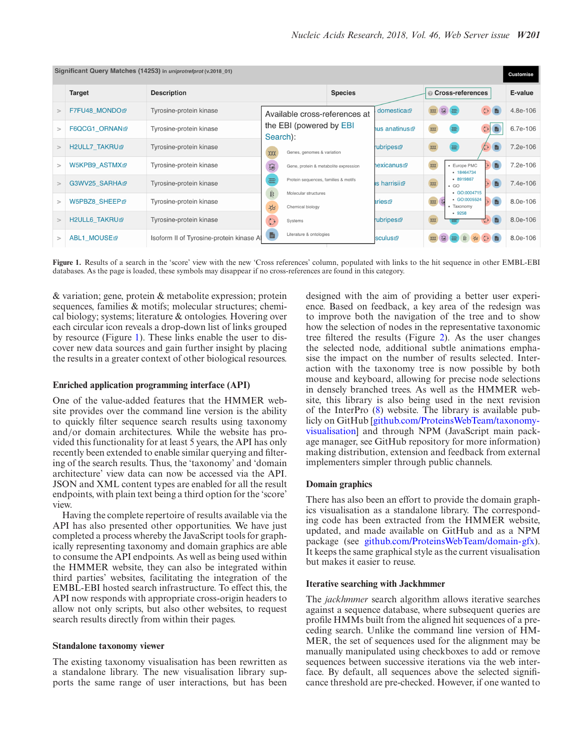| Significant Query Matches (14253) in <i>uniprotrefprot</i> (v.2018_01) |                      |                                         |                                     |                                                              |                |                      |              |                                               |                              | <b>Customise</b> |
|------------------------------------------------------------------------|----------------------|-----------------------------------------|-------------------------------------|--------------------------------------------------------------|----------------|----------------------|--------------|-----------------------------------------------|------------------------------|------------------|
|                                                                        | <b>Target</b>        | <b>Description</b>                      |                                     |                                                              | <b>Species</b> |                      |              | © Cross-references                            |                              | E-value          |
| $\geq$                                                                 | F7FU48 MONDO @       | Tyrosine-protein kinase                 |                                     | Available cross-references at                                |                | domesticard          | XX           | 原课                                            | $\bigcirc$ (b)               | 4.8e-106         |
| $\geq$                                                                 | F6QCG1_ORNAN@        | Tyrosine-protein kinase                 | the EBI (powered by EBI<br>Search): |                                                              |                | າບs anatinບsຜົ       | $x^{\alpha}$ | 無                                             | $\odot$<br>B.                | 6.7e-106         |
|                                                                        | <b>H2ULL7 TAKRU@</b> | Tyrosine-protein kinase                 | <b>XXX</b>                          | Genes, genomes & variation                                   |                | <b>ubripes</b>       | $\chi\chi$   | 無                                             | <b>B</b>                     | 7.2e-106         |
| $\geq$                                                                 | W5KPB9 ASTMX@        | Tyrosine-protein kinase                 | $\mathbb{Q}$                        | Gene, protein & metabolite expression                        |                | าexicanusៅ           | xx           | • Europe PMC<br>$-18464734$                   | $\rightarrow$ $\blacksquare$ | 7.2e-106         |
|                                                                        | G3WV25 SARHA @       | Tyrosine-protein kinase                 | e                                   | Protein sequences, families & motifs<br>Molecular structures |                | <b>Is harrisii</b> 图 | $\chi\chi$   | • 8919867<br>$\cdot$ GO<br>$\cdot$ GO:0004715 | 旨                            | 7.4e-106         |
| $\overline{\phantom{0}}$                                               | W5PBZ8 SHEEP @       | Tyrosine-protein kinase                 | $\mathbf{R}$<br>$rac{1}{2}$         | Chemical biology                                             |                | ariesଙ               | $x^{\alpha}$ | · GO:0005524<br>· Taxonomy                    | $\blacksquare$               | 8.0e-106         |
|                                                                        | <b>H2ULL6 TAKRU@</b> | Tyrosine-protein kinase                 | $\odot$                             | Systems                                                      |                | rubripes图            | XX           | .9258<br><b>CIX</b>                           | B.                           | 8.0e-106         |
|                                                                        | <b>ABL1 MOUSE®</b>   | Isoform II of Tyrosine-protein kinase A | E                                   | Literature & ontologies                                      |                | <b>sculus</b> 图      |              | ₩                                             |                              | 8.0e-106         |

**Figure 1.** Results of a search in the 'score' view with the new 'Cross references' column, populated with links to the hit sequence in other EMBL-EBI databases. As the page is loaded, these symbols may disappear if no cross-references are found in this category.

& variation; gene, protein & metabolite expression; protein sequences, families & motifs; molecular structures; chemical biology; systems; literature & ontologies. Hovering over each circular icon reveals a drop-down list of links grouped by resource (Figure 1). These links enable the user to discover new data sources and gain further insight by placing the results in a greater context of other biological resources.

#### **Enriched application programming interface (API)**

One of the value-added features that the HMMER website provides over the command line version is the ability to quickly filter sequence search results using taxonomy and/or domain architectures. While the website has provided this functionality for at least 5 years, the API has only recently been extended to enable similar querying and filtering of the search results. Thus, the 'taxonomy' and 'domain architecture' view data can now be accessed via the API. JSON and XML content types are enabled for all the result endpoints, with plain text being a third option for the 'score' view.

Having the complete repertoire of results available via the API has also presented other opportunities. We have just completed a process whereby the JavaScript tools for graphically representing taxonomy and domain graphics are able to consume the API endpoints. As well as being used within the HMMER website, they can also be integrated within third parties' websites, facilitating the integration of the EMBL-EBI hosted search infrastructure. To effect this, the API now responds with appropriate cross-origin headers to allow not only scripts, but also other websites, to request search results directly from within their pages.

#### **Standalone taxonomy viewer**

The existing taxonomy visualisation has been rewritten as a standalone library. The new visualisation library supports the same range of user interactions, but has been designed with the aim of providing a better user experience. Based on feedback, a key area of the redesign was to improve both the navigation of the tree and to show how the selection of nodes in the representative taxonomic tree filtered the results (Figure [2\)](#page-2-0). As the user changes the selected node, additional subtle animations emphasise the impact on the number of results selected. Interaction with the taxonomy tree is now possible by both mouse and keyboard, allowing for precise node selections in densely branched trees. As well as the HMMER website, this library is also being used in the next revision of the InterPro [\(8\)](#page-4-0) website. The library is available publicly on GitHub [github.com/ProteinsWebTeam/taxonomy[visualisation\] and through NPM \(JavaScript main pack](#page-0-0)age manager, see GitHub repository for more information) making distribution, extension and feedback from external implementers simpler through public channels.

#### **Domain graphics**

There has also been an effort to provide the domain graphics visualisation as a standalone library. The corresponding code has been extracted from the HMMER website, updated, and made available on GitHub and as a NPM package (see [github.com/ProteinsWebTeam/domain-gfx\)](#page-0-0). It keeps the same graphical style as the current visualisation but makes it easier to reuse.

#### **Iterative searching with Jackhmmer**

The *jackhmmer* search algorithm allows iterative searches against a sequence database, where subsequent queries are profile HMMs built from the aligned hit sequences of a preceding search. Unlike the command line version of HM-MER, the set of sequences used for the alignment may be manually manipulated using checkboxes to add or remove sequences between successive iterations via the web interface. By default, all sequences above the selected significance threshold are pre-checked. However, if one wanted to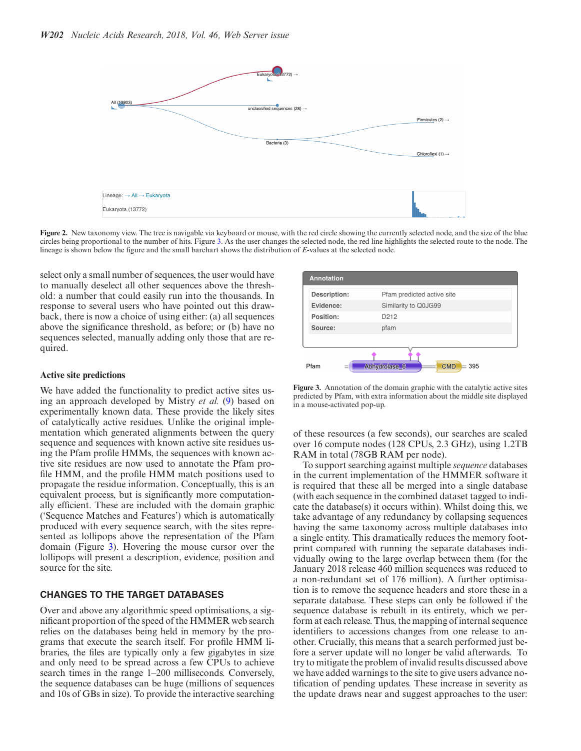<span id="page-2-0"></span>

**Figure 2.** New taxonomy view. The tree is navigable via keyboard or mouse, with the red circle showing the currently selected node, and the size of the blue circles being proportional to the number of hits. Figure 3. As the user changes the selected node, the red line highlights the selected route to the node. The lineage is shown below the figure and the small barchart shows the distribution of *E*-values at the selected node.

select only a small number of sequences, the user would have to manually deselect all other sequences above the threshold: a number that could easily run into the thousands. In response to several users who have pointed out this drawback, there is now a choice of using either: (a) all sequences above the significance threshold, as before; or (b) have no sequences selected, manually adding only those that are required.

#### **Active site predictions**

We have added the functionality to predict active sites using an approach developed by Mistry *et al.* [\(9\)](#page-4-0) based on experimentally known data. These provide the likely sites of catalytically active residues. Unlike the original implementation which generated alignments between the query sequence and sequences with known active site residues using the Pfam profile HMMs, the sequences with known active site residues are now used to annotate the Pfam profile HMM, and the profile HMM match positions used to propagate the residue information. Conceptually, this is an equivalent process, but is significantly more computationally efficient. These are included with the domain graphic ('Sequence Matches and Features') which is automatically produced with every sequence search, with the sites represented as lollipops above the representation of the Pfam domain (Figure 3). Hovering the mouse cursor over the lollipops will present a description, evidence, position and source for the site.

## **CHANGES TO THE TARGET DATABASES**

Over and above any algorithmic speed optimisations, a significant proportion of the speed of the HMMER web search relies on the databases being held in memory by the programs that execute the search itself. For profile HMM libraries, the files are typically only a few gigabytes in size and only need to be spread across a few CPUs to achieve search times in the range 1–200 milliseconds. Conversely, the sequence databases can be huge (millions of sequences and 10s of GBs in size). To provide the interactive searching



**Figure 3.** Annotation of the domain graphic with the catalytic active sites predicted by Pfam, with extra information about the middle site displayed in a mouse-activated pop-up.

of these resources (a few seconds), our searches are scaled over 16 compute nodes (128 CPUs, 2.3 GHz), using 1.2TB RAM in total (78GB RAM per node).

To support searching against multiple *sequence* databases in the current implementation of the HMMER software it is required that these all be merged into a single database (with each sequence in the combined dataset tagged to indicate the database(s) it occurs within). Whilst doing this, we take advantage of any redundancy by collapsing sequences having the same taxonomy across multiple databases into a single entity. This dramatically reduces the memory footprint compared with running the separate databases individually owing to the large overlap between them (for the January 2018 release 460 million sequences was reduced to a non-redundant set of 176 million). A further optimisation is to remove the sequence headers and store these in a separate database. These steps can only be followed if the sequence database is rebuilt in its entirety, which we perform at each release. Thus, the mapping of internal sequence identifiers to accessions changes from one release to another. Crucially, this means that a search performed just before a server update will no longer be valid afterwards. To try to mitigate the problem of invalid results discussed above we have added warnings to the site to give users advance notification of pending updates. These increase in severity as the update draws near and suggest approaches to the user: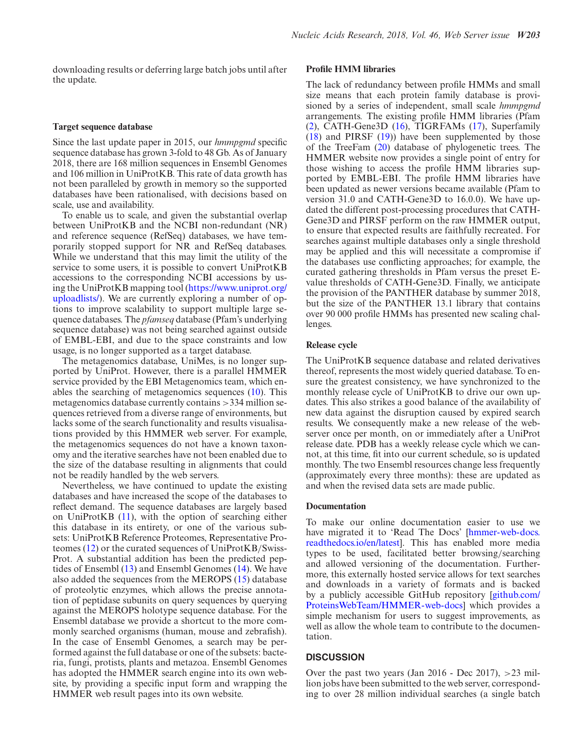downloading results or deferring large batch jobs until after the update.

#### **Target sequence database**

Since the last update paper in 2015, our *hmmpgmd* specific sequence database has grown 3-fold to 48 Gb. As of January 2018, there are 168 million sequences in Ensembl Genomes and 106 million in UniProtKB. This rate of data growth has not been paralleled by growth in memory so the supported databases have been rationalised, with decisions based on scale, use and availability.

To enable us to scale, and given the substantial overlap between UniProtKB and the NCBI non-redundant (NR) and reference sequence (RefSeq) databases, we have temporarily stopped support for NR and RefSeq databases. While we understand that this may limit the utility of the service to some users, it is possible to convert UniProtKB accessions to the corresponding NCBI accessions by using the UniProtKB mapping tool (https://www.uniprot.org/ [uploadlists/\). We are currently exploring a number of op](https://www.uniprot.org/uploadlists/)tions to improve scalability to support multiple large sequence databases. The *pfamseq* database (Pfam's underlying sequence database) was not being searched against outside of EMBL-EBI, and due to the space constraints and low usage, is no longer supported as a target database.

The metagenomics database, UniMes, is no longer supported by UniProt. However, there is a parallel HMMER service provided by the EBI Metagenomics team, which enables the searching of metagenomics sequences [\(10\)](#page-4-0). This metagenomics database currently contains >334 million sequences retrieved from a diverse range of environments, but lacks some of the search functionality and results visualisations provided by this HMMER web server. For example, the metagenomics sequences do not have a known taxonomy and the iterative searches have not been enabled due to the size of the database resulting in alignments that could not be readily handled by the web servers.

Nevertheless, we have continued to update the existing databases and have increased the scope of the databases to reflect demand. The sequence databases are largely based on UniProtKB [\(11\)](#page-4-0), with the option of searching either this database in its entirety, or one of the various subsets: UniProtKB Reference Proteomes, Representative Proteomes [\(12\)](#page-4-0) or the curated sequences of UniProtKB/Swiss-Prot. A substantial addition has been the predicted peptides of Ensembl [\(13\)](#page-4-0) and Ensembl Genomes [\(14\)](#page-4-0). We have also added the sequences from the MEROPS [\(15\)](#page-4-0) database of proteolytic enzymes, which allows the precise annotation of peptidase subunits on query sequences by querying against the MEROPS holotype sequence database. For the Ensembl database we provide a shortcut to the more commonly searched organisms (human, mouse and zebrafish). In the case of Ensembl Genomes, a search may be performed against the full database or one of the subsets: bacteria, fungi, protists, plants and metazoa. Ensembl Genomes has adopted the HMMER search engine into its own website, by providing a specific input form and wrapping the HMMER web result pages into its own website.

#### **Profile HMM libraries**

The lack of redundancy between profile HMMs and small size means that each protein family database is provisioned by a series of independent, small scale *hmmpgmd* arrangements*.* The existing profile HMM libraries (Pfam [\(2\)](#page-4-0), CATH-Gene3D [\(16\)](#page-4-0), TIGRFAMs [\(17\)](#page-4-0), Superfamily  $(18)$  and PIRSF  $(19)$ ) have been supplemented by those of the TreeFam [\(20\)](#page-4-0) database of phylogenetic trees. The HMMER website now provides a single point of entry for those wishing to access the profile HMM libraries supported by EMBL-EBI. The profile HMM libraries have been updated as newer versions became available (Pfam to version 31.0 and CATH-Gene3D to 16.0.0). We have updated the different post-processing procedures that CATH-Gene3D and PIRSF perform on the raw HMMER output, to ensure that expected results are faithfully recreated. For searches against multiple databases only a single threshold may be applied and this will necessitate a compromise if the databases use conflicting approaches; for example, the curated gathering thresholds in Pfam versus the preset Evalue thresholds of CATH-Gene3D. Finally, we anticipate the provision of the PANTHER database by summer 2018, but the size of the PANTHER 13.1 library that contains over 90 000 profile HMMs has presented new scaling challenges.

#### **Release cycle**

The UniProtKB sequence database and related derivatives thereof, represents the most widely queried database. To ensure the greatest consistency, we have synchronized to the monthly release cycle of UniProtKB to drive our own updates. This also strikes a good balance of the availability of new data against the disruption caused by expired search results. We consequently make a new release of the webserver once per month, on or immediately after a UniProt release date. PDB has a weekly release cycle which we cannot, at this time, fit into our current schedule, so is updated monthly. The two Ensembl resources change less frequently (approximately every three months): these are updated as and when the revised data sets are made public.

#### **Documentation**

To make our online documentation easier to use we have migrated it to 'Read The Docs' [hmmer-web-docs. [readthedocs.io/en/latest\]. This has enabled more media](#page-0-0) types to be used, facilitated better browsing/searching and allowed versioning of the documentation. Furthermore, this externally hosted service allows for text searches and downloads in a variety of formats and is backed by a publicly accessible GitHub repository [github.com/ [ProteinsWebTeam/HMMER-web-docs\] which provides a](#page-0-0) simple mechanism for users to suggest improvements, as well as allow the whole team to contribute to the documentation.

## **DISCUSSION**

Over the past two years (Jan 2016 - Dec 2017),  $>23$  million jobs have been submitted to the web server, corresponding to over 28 million individual searches (a single batch